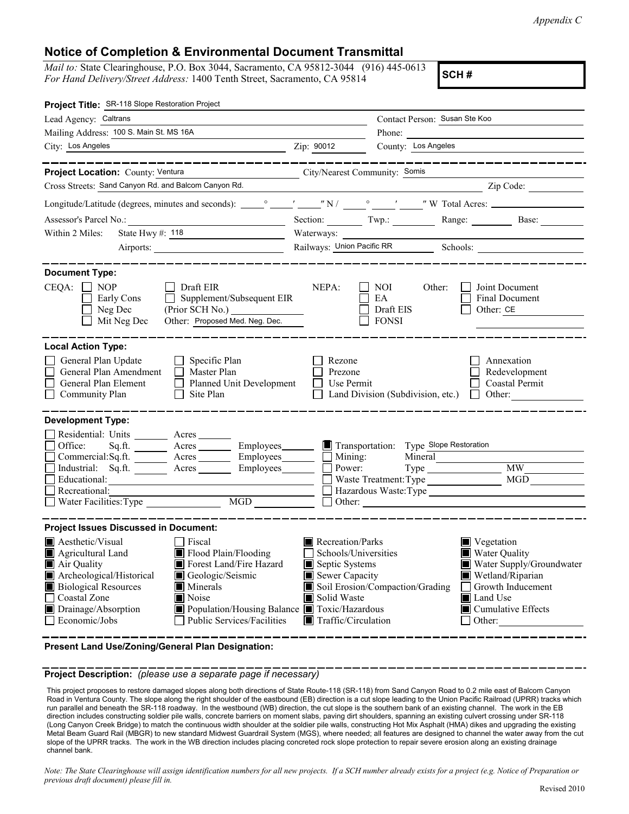*Appendix C* 

## **Notice of Completion & Environmental Document Transmittal**

 *Mail to:* State Clearinghouse, P.O. Box 3044, Sacramento, CA 95812-3044 (916) 445-0613 **For Hand Delivery/Street Address: 1400 Tenth Street, Sacramento, CA 95814** 

| Project Title: SR-118 Slope Restoration Project                                                                                                                                                                                                                                                                                                                                |                                                                                                                                   |                                                            |                                                                                                                                                                                                                                                                                                                                                                      |
|--------------------------------------------------------------------------------------------------------------------------------------------------------------------------------------------------------------------------------------------------------------------------------------------------------------------------------------------------------------------------------|-----------------------------------------------------------------------------------------------------------------------------------|------------------------------------------------------------|----------------------------------------------------------------------------------------------------------------------------------------------------------------------------------------------------------------------------------------------------------------------------------------------------------------------------------------------------------------------|
| Lead Agency: Caltrans                                                                                                                                                                                                                                                                                                                                                          | Contact Person: Susan Ste Koo                                                                                                     |                                                            |                                                                                                                                                                                                                                                                                                                                                                      |
| Mailing Address: 100 S. Main St. MS 16A                                                                                                                                                                                                                                                                                                                                        |                                                                                                                                   | Phone:                                                     |                                                                                                                                                                                                                                                                                                                                                                      |
| City: Los Angeles                                                                                                                                                                                                                                                                                                                                                              | Zip: 90012                                                                                                                        | County: Los Angeles                                        |                                                                                                                                                                                                                                                                                                                                                                      |
| Project Location: County: Ventura<br>City/Nearest Community: Somis                                                                                                                                                                                                                                                                                                             |                                                                                                                                   |                                                            |                                                                                                                                                                                                                                                                                                                                                                      |
| Cross Streets: Sand Canyon Rd. and Balcom Canyon Rd.                                                                                                                                                                                                                                                                                                                           |                                                                                                                                   |                                                            | $\frac{1}{\sqrt{2}}$ $\frac{1}{\sqrt{2}}$ $\frac{1}{\sqrt{2}}$ $\frac{1}{\sqrt{2}}$ $\frac{1}{\sqrt{2}}$ $\frac{1}{\sqrt{2}}$ $\frac{1}{\sqrt{2}}$ $\frac{1}{\sqrt{2}}$ $\frac{1}{\sqrt{2}}$ $\frac{1}{\sqrt{2}}$ $\frac{1}{\sqrt{2}}$ $\frac{1}{\sqrt{2}}$ $\frac{1}{\sqrt{2}}$ $\frac{1}{\sqrt{2}}$ $\frac{1}{\sqrt{2}}$ $\frac{1}{\sqrt{2}}$ $\frac{1}{\sqrt{2}}$ |
|                                                                                                                                                                                                                                                                                                                                                                                |                                                                                                                                   |                                                            |                                                                                                                                                                                                                                                                                                                                                                      |
| Assessor's Parcel No.:<br><u> 1989 - Johann Barbara, martxa alemaniar a</u>                                                                                                                                                                                                                                                                                                    | Section: Twp.:                                                                                                                    |                                                            | Range: Base:                                                                                                                                                                                                                                                                                                                                                         |
| State Hwy #: 118<br>Within 2 Miles:<br><u> 1990 - Jan Barnett, fransk politiker</u>                                                                                                                                                                                                                                                                                            |                                                                                                                                   | Waterways:                                                 |                                                                                                                                                                                                                                                                                                                                                                      |
|                                                                                                                                                                                                                                                                                                                                                                                | Railways: Union Pacific RR<br>Schools:                                                                                            |                                                            |                                                                                                                                                                                                                                                                                                                                                                      |
|                                                                                                                                                                                                                                                                                                                                                                                |                                                                                                                                   |                                                            |                                                                                                                                                                                                                                                                                                                                                                      |
| <b>Document Type:</b><br>$CEQA: \Box NP$<br>$\Box$ Draft EIR<br>Early Cons<br>$\Box$ Supplement/Subsequent EIR<br>Neg Dec<br>(Prior SCH No.)<br>Other: Proposed Med. Neg. Dec.<br>Mit Neg Dec                                                                                                                                                                                  | NEPA:                                                                                                                             | NOI<br>Other:<br>EA<br>Draft EIS<br><b>FONSI</b>           | Joint Document<br>Final Document<br>Other: CE                                                                                                                                                                                                                                                                                                                        |
| <b>Local Action Type:</b>                                                                                                                                                                                                                                                                                                                                                      |                                                                                                                                   |                                                            |                                                                                                                                                                                                                                                                                                                                                                      |
| General Plan Update<br>Specific Plan<br>General Plan Amendment<br>Master Plan<br>General Plan Element<br>Planned Unit Development<br>Site Plan<br>Community Plan                                                                                                                                                                                                               | Rezone<br>Prezone<br>Use Permit                                                                                                   | Land Division (Subdivision, etc.)                          | Annexation<br>Redevelopment<br>Coastal Permit                                                                                                                                                                                                                                                                                                                        |
| <b>Development Type:</b><br>Residential: Units ________ Acres _______<br>Office:<br>Acres _________ Employees________<br>Sq.ft.<br>$Commercial:Sq.fit.$ Acres Employees $\Box$ Mining:<br>Industrial: Sq.ft. _______ Acres ________ Employees_______<br>Educational:<br>Recreational:<br>MGD<br>Water Facilities: Type                                                         | Transportation:<br>Power:                                                                                                         | Type Slope Restoration<br>Mineral<br>Waste Treatment: Type | MW -<br>Hazardous Waste:Type                                                                                                                                                                                                                                                                                                                                         |
| <b>Project Issues Discussed in Document:</b>                                                                                                                                                                                                                                                                                                                                   |                                                                                                                                   |                                                            |                                                                                                                                                                                                                                                                                                                                                                      |
| $\blacksquare$ Aesthetic/Visual<br>Fiscal<br>Flood Plain/Flooding<br>Agricultural Land<br>IШ<br>Air Quality<br>Forest Land/Fire Hazard<br>Archeological/Historical<br>Geologic/Seismic<br><b>Biological Resources</b><br>Minerals<br>Noise<br>Coastal Zone<br>Drainage/Absorption<br>Population/Housing Balance Toxic/Hazardous<br>Public Services/Facilities<br>Economic/Jobs | Recreation/Parks<br>Schools/Universities<br>Septic Systems<br>Sewer Capacity<br>Solid Waste<br>$\blacksquare$ Traffic/Circulation | Soil Erosion/Compaction/Grading                            | Vegetation<br>Water Quality<br>Water Supply/Groundwater<br>Wetland/Riparian<br>Growth Inducement<br><b>I</b> Land Use<br>$\blacksquare$ Cumulative Effects<br>Other:                                                                                                                                                                                                 |

 **Present Land Use/Zoning/General Plan Designation:** 

 **Project Description:** *(please use a separate page if necessary)* 

 This project proposes to restore damaged slopes along both directions of State Route-118 (SR-118) from Sand Canyon Road to 0.2 mile east of Balcom Canyon Road in Ventura County. The slope along the right shoulder of the eastbound (EB) direction is a cut slope leading to the Union Pacific Railroad (UPRR) tracks which run parallel and beneath the SR-118 roadway. In the westbound (WB) direction, the cut slope is the southern bank of an existing channel. The work in the EB direction includes constructing soldier pile walls, concrete barriers on moment slabs, paving dirt shoulders, spanning an existing culvert crossing under SR-118 (Long Canyon Creek Bridge) to match the continuous width shoulder at the soldier pile walls, constructing Hot Mix Asphalt (HMA) dikes and upgrading the existing Metal Beam Guard Rail (MBGR) to new standard Midwest Guardrail System (MGS), where needed; all features are designed to channel the water away from the cut slope of the UPRR tracks. The work in the WB direction includes placing concreted rock slope protection to repair severe erosion along an existing drainage channel bank.

Note: The State Clearinghouse will assign identification numbers for all new projects. If a SCH number already exists for a project (e.g. Notice of Preparation or  *previous draft document) please fill in.*